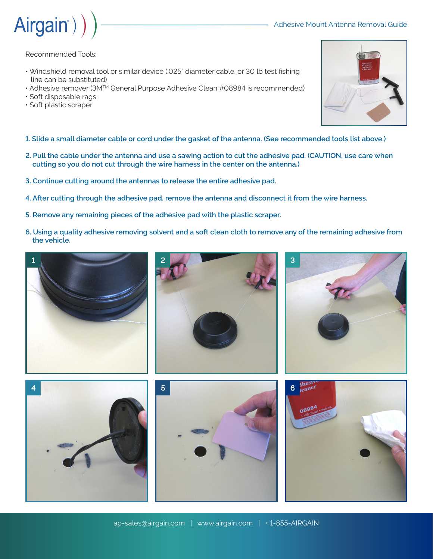



Recommended Tools:

- Windshield removal tool or similar device (.025" diameter cable. or 30 lb test fishing line can be substituted)
- Adhesive remover (3MTM General Purpose Adhesive Clean #08984 is recommended)
- Soft disposable rags
- Soft plastic scraper
- **1. Slide a small diameter cable or cord under the gasket of the antenna. (See recommended tools list above.)**
- **2. Pull the cable under the antenna and use a sawing action to cut the adhesive pad. (CAUTION, use care when cutting so you do not cut through the wire harness in the center on the antenna.)**
- **3. Continue cutting around the antennas to release the entire adhesive pad.**
- **4. After cutting through the adhesive pad, remove the antenna and disconnect it from the wire harness.**
- **5. Remove any remaining pieces of the adhesive pad with the plastic scraper.**
- **6. Using a quality adhesive removing solvent and a soft clean cloth to remove any of the remaining adhesive from the vehicle.**